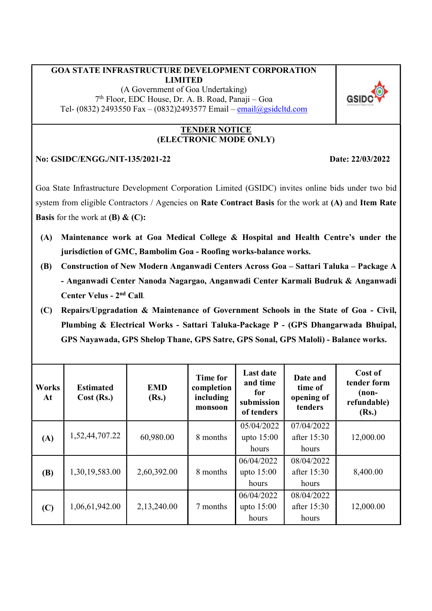### GOA STATE INFRASTRUCTURE DEVELOPMENT CORPORATION LIMITED

(A Government of Goa Undertaking) 7 th Floor, EDC House, Dr. A. B. Road, Panaji – Goa Tel- (0832) 2493550 Fax – (0832)2493577 Email – email@gsidcltd.com



#### TENDER NOTICE (ELECTRONIC MODE ONLY)

### No: GSIDC/ENGG./NIT-135/2021-22 Date: 22/03/2022

Goa State Infrastructure Development Corporation Limited (GSIDC) invites online bids under two bid system from eligible Contractors / Agencies on Rate Contract Basis for the work at (A) and Item Rate **Basis** for the work at  $(B)$  &  $(C)$ :

- (A) Maintenance work at Goa Medical College & Hospital and Health Centre's under the jurisdiction of GMC, Bambolim Goa - Roofing works-balance works.
- (B) Construction of New Modern Anganwadi Centers Across Goa Sattari Taluka Package A - Anganwadi Center Nanoda Nagargao, Anganwadi Center Karmali Budruk & Anganwadi Center Velus - 2nd Call.
- (C) Repairs/Upgradation & Maintenance of Government Schools in the State of Goa Civil, Plumbing & Electrical Works - Sattari Taluka-Package P - (GPS Dhangarwada Bhuipal, GPS Nayawada, GPS Shelop Thane, GPS Satre, GPS Sonal, GPS Maloli) - Balance works.

| Works<br>At | <b>Estimated</b><br>Cost (Rs.) | <b>EMD</b><br>(Rs.) | <b>Time for</b><br>completion<br>including<br>monsoon | <b>Last date</b><br>and time<br>for<br>submission<br>of tenders | Date and<br>time of<br>opening of<br>tenders | Cost of<br>tender form<br>$(non-$<br>refundable)<br>(Rs.) |
|-------------|--------------------------------|---------------------|-------------------------------------------------------|-----------------------------------------------------------------|----------------------------------------------|-----------------------------------------------------------|
| (A)         | 1,52,44,707.22                 | 60,980.00           | 8 months                                              | 05/04/2022<br>upto $15:00$<br>hours                             | 07/04/2022<br>after 15:30<br>hours           | 12,000.00                                                 |
| <b>(B)</b>  | 1,30,19,583.00                 | 2,60,392.00         | 8 months                                              | 06/04/2022<br>upto 15:00<br>hours                               | 08/04/2022<br>after 15:30<br>hours           | 8,400.00                                                  |
| (C)         | 1,06,61,942.00                 | 2,13,240.00         | 7 months                                              | 06/04/2022<br>upto $15:00$<br>hours                             | 08/04/2022<br>after 15:30<br>hours           | 12,000.00                                                 |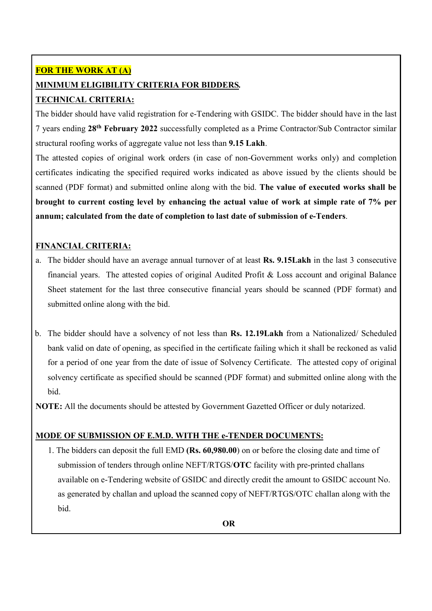# FOR THE WORK AT (A)

# MINIMUM ELIGIBILITY CRITERIA FOR BIDDERS.

# TECHNICAL CRITERIA:

The bidder should have valid registration for e-Tendering with GSIDC. The bidder should have in the last 7 years ending 28th February 2022 successfully completed as a Prime Contractor/Sub Contractor similar structural roofing works of aggregate value not less than 9.15 Lakh.

The attested copies of original work orders (in case of non-Government works only) and completion certificates indicating the specified required works indicated as above issued by the clients should be scanned (PDF format) and submitted online along with the bid. The value of executed works shall be brought to current costing level by enhancing the actual value of work at simple rate of 7% per annum; calculated from the date of completion to last date of submission of e-Tenders.

## FINANCIAL CRITERIA:

- a. The bidder should have an average annual turnover of at least Rs. 9.15Lakh in the last 3 consecutive financial years. The attested copies of original Audited Profit & Loss account and original Balance Sheet statement for the last three consecutive financial years should be scanned (PDF format) and submitted online along with the bid.
- b. The bidder should have a solvency of not less than Rs. 12.19Lakh from a Nationalized/ Scheduled bank valid on date of opening, as specified in the certificate failing which it shall be reckoned as valid for a period of one year from the date of issue of Solvency Certificate. The attested copy of original solvency certificate as specified should be scanned (PDF format) and submitted online along with the bid.

NOTE: All the documents should be attested by Government Gazetted Officer or duly notarized.

# MODE OF SUBMISSION OF E.M.D. WITH THE e-TENDER DOCUMENTS:

1. The bidders can deposit the full EMD (Rs. 60,980.00) on or before the closing date and time of submission of tenders through online NEFT/RTGS/OTC facility with pre-printed challans available on e-Tendering website of GSIDC and directly credit the amount to GSIDC account No. as generated by challan and upload the scanned copy of NEFT/RTGS/OTC challan along with the bid.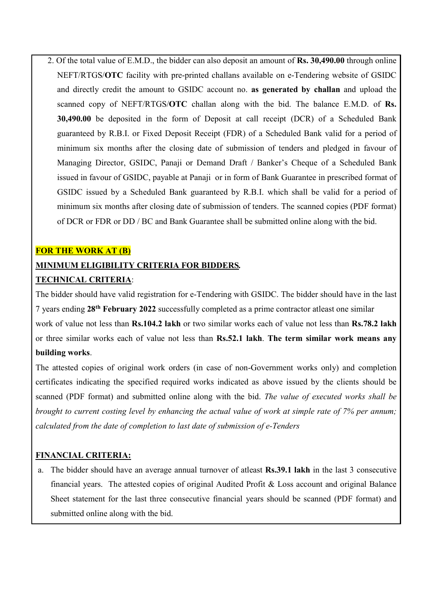2. Of the total value of E.M.D., the bidder can also deposit an amount of Rs. 30,490.00 through online NEFT/RTGS/OTC facility with pre-printed challans available on e-Tendering website of GSIDC and directly credit the amount to GSIDC account no. as generated by challan and upload the scanned copy of NEFT/RTGS/OTC challan along with the bid. The balance E.M.D. of Rs. 30,490.00 be deposited in the form of Deposit at call receipt (DCR) of a Scheduled Bank guaranteed by R.B.I. or Fixed Deposit Receipt (FDR) of a Scheduled Bank valid for a period of minimum six months after the closing date of submission of tenders and pledged in favour of Managing Director, GSIDC, Panaji or Demand Draft / Banker's Cheque of a Scheduled Bank issued in favour of GSIDC, payable at Panaji or in form of Bank Guarantee in prescribed format of GSIDC issued by a Scheduled Bank guaranteed by R.B.I. which shall be valid for a period of minimum six months after closing date of submission of tenders. The scanned copies (PDF format) of DCR or FDR or DD / BC and Bank Guarantee shall be submitted online along with the bid.

#### FOR THE WORK AT (B)

## MINIMUM ELIGIBILITY CRITERIA FOR BIDDERS.

### TECHNICAL CRITERIA:

The bidder should have valid registration for e-Tendering with GSIDC. The bidder should have in the last 7 years ending 28th February 2022 successfully completed as a prime contractor atleast one similar

work of value not less than **Rs.104.2 lakh** or two similar works each of value not less than **Rs.78.2 lakh** or three similar works each of value not less than Rs.52.1 lakh. The term similar work means any building works.

The attested copies of original work orders (in case of non-Government works only) and completion certificates indicating the specified required works indicated as above issued by the clients should be scanned (PDF format) and submitted online along with the bid. The value of executed works shall be brought to current costing level by enhancing the actual value of work at simple rate of 7% per annum; calculated from the date of completion to last date of submission of e-Tenders

#### FINANCIAL CRITERIA:

a. The bidder should have an average annual turnover of atleast Rs.39.1 lakh in the last 3 consecutive financial years. The attested copies of original Audited Profit & Loss account and original Balance Sheet statement for the last three consecutive financial years should be scanned (PDF format) and submitted online along with the bid.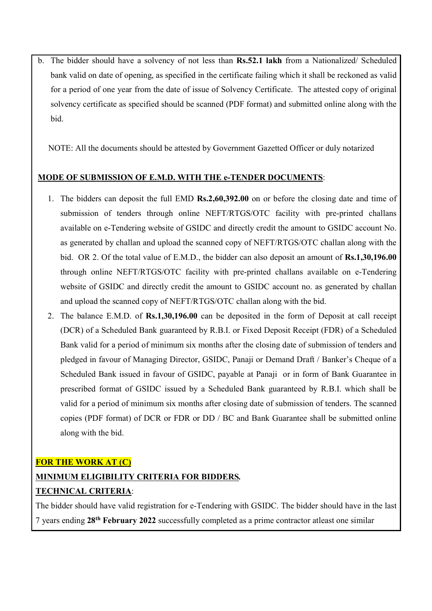b. The bidder should have a solvency of not less than Rs.52.1 lakh from a Nationalized/ Scheduled bank valid on date of opening, as specified in the certificate failing which it shall be reckoned as valid for a period of one year from the date of issue of Solvency Certificate. The attested copy of original solvency certificate as specified should be scanned (PDF format) and submitted online along with the bid.

NOTE: All the documents should be attested by Government Gazetted Officer or duly notarized

#### MODE OF SUBMISSION OF E.M.D. WITH THE e-TENDER DOCUMENTS:

- 1. The bidders can deposit the full EMD Rs.2,60,392.00 on or before the closing date and time of submission of tenders through online NEFT/RTGS/OTC facility with pre-printed challans available on e-Tendering website of GSIDC and directly credit the amount to GSIDC account No. as generated by challan and upload the scanned copy of NEFT/RTGS/OTC challan along with the bid. OR 2. Of the total value of E.M.D., the bidder can also deposit an amount of Rs.1,30,196.00 through online NEFT/RTGS/OTC facility with pre-printed challans available on e-Tendering website of GSIDC and directly credit the amount to GSIDC account no. as generated by challan and upload the scanned copy of NEFT/RTGS/OTC challan along with the bid.
- 2. The balance E.M.D. of Rs.1,30,196.00 can be deposited in the form of Deposit at call receipt (DCR) of a Scheduled Bank guaranteed by R.B.I. or Fixed Deposit Receipt (FDR) of a Scheduled Bank valid for a period of minimum six months after the closing date of submission of tenders and pledged in favour of Managing Director, GSIDC, Panaji or Demand Draft / Banker's Cheque of a Scheduled Bank issued in favour of GSIDC, payable at Panaji or in form of Bank Guarantee in prescribed format of GSIDC issued by a Scheduled Bank guaranteed by R.B.I. which shall be valid for a period of minimum six months after closing date of submission of tenders. The scanned copies (PDF format) of DCR or FDR or DD / BC and Bank Guarantee shall be submitted online along with the bid.

FOR THE WORK AT (C)

### MINIMUM ELIGIBILITY CRITERIA FOR BIDDERS.

#### TECHNICAL CRITERIA:

The bidder should have valid registration for e-Tendering with GSIDC. The bidder should have in the last 7 years ending 28<sup>th</sup> February 2022 successfully completed as a prime contractor atleast one similar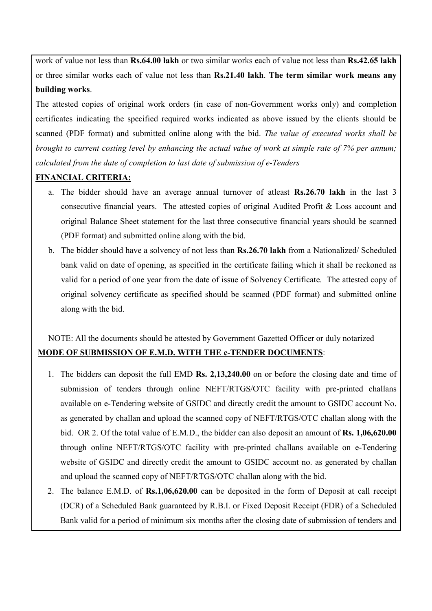work of value not less than **Rs.64.00 lakh** or two similar works each of value not less than **Rs.42.65 lakh** or three similar works each of value not less than Rs.21.40 lakh. The term similar work means any building works.

The attested copies of original work orders (in case of non-Government works only) and completion certificates indicating the specified required works indicated as above issued by the clients should be scanned (PDF format) and submitted online along with the bid. The value of executed works shall be brought to current costing level by enhancing the actual value of work at simple rate of 7% per annum; calculated from the date of completion to last date of submission of e-Tenders

### FINANCIAL CRITERIA:

- a. The bidder should have an average annual turnover of atleast Rs.26.70 lakh in the last 3 consecutive financial years. The attested copies of original Audited Profit & Loss account and original Balance Sheet statement for the last three consecutive financial years should be scanned (PDF format) and submitted online along with the bid.
- b. The bidder should have a solvency of not less than Rs.26.70 lakh from a Nationalized/ Scheduled bank valid on date of opening, as specified in the certificate failing which it shall be reckoned as valid for a period of one year from the date of issue of Solvency Certificate. The attested copy of original solvency certificate as specified should be scanned (PDF format) and submitted online along with the bid.

NOTE: All the documents should be attested by Government Gazetted Officer or duly notarized MODE OF SUBMISSION OF E.M.D. WITH THE e-TENDER DOCUMENTS:

- 1. The bidders can deposit the full EMD Rs. 2,13,240.00 on or before the closing date and time of submission of tenders through online NEFT/RTGS/OTC facility with pre-printed challans available on e-Tendering website of GSIDC and directly credit the amount to GSIDC account No. as generated by challan and upload the scanned copy of NEFT/RTGS/OTC challan along with the bid. OR 2. Of the total value of E.M.D., the bidder can also deposit an amount of **Rs. 1,06,620.00** through online NEFT/RTGS/OTC facility with pre-printed challans available on e-Tendering website of GSIDC and directly credit the amount to GSIDC account no. as generated by challan and upload the scanned copy of NEFT/RTGS/OTC challan along with the bid.
- 2. The balance E.M.D. of Rs.1,06,620.00 can be deposited in the form of Deposit at call receipt (DCR) of a Scheduled Bank guaranteed by R.B.I. or Fixed Deposit Receipt (FDR) of a Scheduled Bank valid for a period of minimum six months after the closing date of submission of tenders and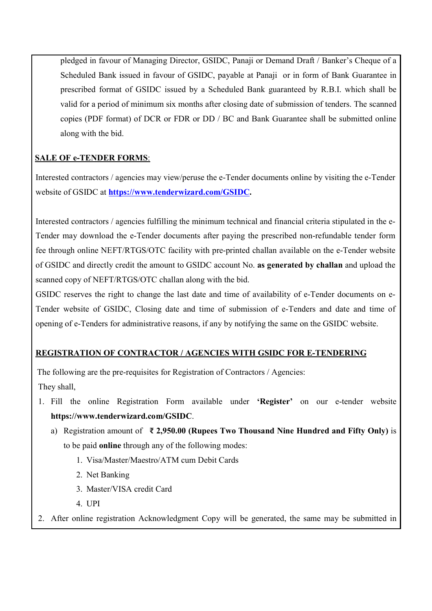pledged in favour of Managing Director, GSIDC, Panaji or Demand Draft / Banker's Cheque of a Scheduled Bank issued in favour of GSIDC, payable at Panaji or in form of Bank Guarantee in prescribed format of GSIDC issued by a Scheduled Bank guaranteed by R.B.I. which shall be valid for a period of minimum six months after closing date of submission of tenders. The scanned copies (PDF format) of DCR or FDR or DD / BC and Bank Guarantee shall be submitted online along with the bid.

## SALE OF e-TENDER FORMS:

Interested contractors / agencies may view/peruse the e-Tender documents online by visiting the e-Tender website of GSIDC at https://www.tenderwizard.com/GSIDC.

Interested contractors / agencies fulfilling the minimum technical and financial criteria stipulated in the e-Tender may download the e-Tender documents after paying the prescribed non-refundable tender form fee through online NEFT/RTGS/OTC facility with pre-printed challan available on the e-Tender website of GSIDC and directly credit the amount to GSIDC account No. as generated by challan and upload the scanned copy of NEFT/RTGS/OTC challan along with the bid.

GSIDC reserves the right to change the last date and time of availability of e-Tender documents on e-Tender website of GSIDC, Closing date and time of submission of e-Tenders and date and time of opening of e-Tenders for administrative reasons, if any by notifying the same on the GSIDC website.

# REGISTRATION OF CONTRACTOR / AGENCIES WITH GSIDC FOR E-TENDERING

The following are the pre-requisites for Registration of Contractors / Agencies:

They shall,

- 1. Fill the online Registration Form available under 'Register' on our e-tender website https://www.tenderwizard.com/GSIDC.
	- a) Registration amount of  $\overline{\epsilon}$  2,950.00 (Rupees Two Thousand Nine Hundred and Fifty Only) is to be paid online through any of the following modes:
		- 1. Visa/Master/Maestro/ATM cum Debit Cards
		- 2. Net Banking
		- 3. Master/VISA credit Card
		- 4. UPI
- 2. After online registration Acknowledgment Copy will be generated, the same may be submitted in